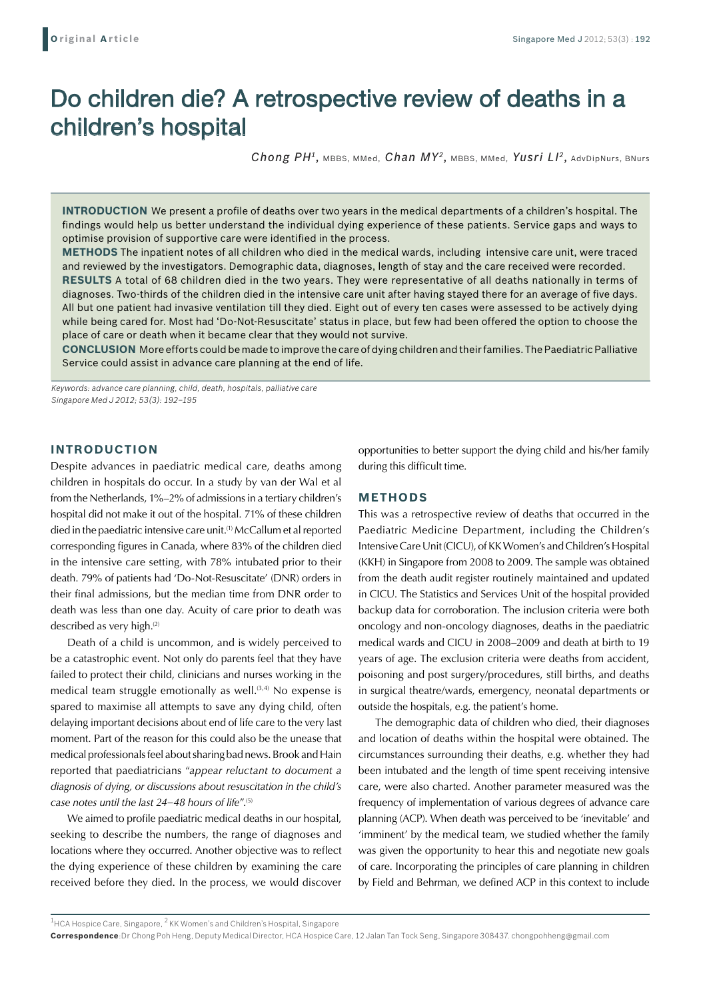# Do children die? A retrospective review of deaths in a children's hospital

*Chong PH1,* MBBS, MMed, *Chan MY2,* MBBS, MMed, *Yusri LI2,* AdvDipNurs, BNurs

**Introduction** We present a profile of deaths over two years in the medical departments of a children's hospital. The findings would help us better understand the individual dying experience of these patients. Service gaps and ways to optimise provision of supportive care were identified in the process.

**Methods** The inpatient notes of all children who died in the medical wards, including intensive care unit, were traced and reviewed by the investigators. Demographic data, diagnoses, length of stay and the care received were recorded. **Results** A total of 68 children died in the two years. They were representative of all deaths nationally in terms of diagnoses. Two-thirds of the children died in the intensive care unit after having stayed there for an average of five days. All but one patient had invasive ventilation till they died. Eight out of every ten cases were assessed to be actively dying while being cared for. Most had 'Do-Not-Resuscitate' status in place, but few had been offered the option to choose the place of care or death when it became clear that they would not survive.

**Conclusion** More efforts could be made to improve the care of dying children and their families. The Paediatric Palliative Service could assist in advance care planning at the end of life.

*Keywords: advance care planning, child, death, hospitals, palliative care Singapore Med J 2012; 53(3): 192–195*

# **INTRODUCTION**

Despite advances in paediatric medical care, deaths among children in hospitals do occur. In a study by van der Wal et al from the Netherlands, 1%–2% of admissions in a tertiary children's hospital did not make it out of the hospital. 71% of these children died in the paediatric intensive care unit.(1) McCallum et al reported corresponding figures in Canada, where 83% of the children died in the intensive care setting, with 78% intubated prior to their death. 79% of patients had 'Do-Not-Resuscitate' (DNR) orders in their final admissions, but the median time from DNR order to death was less than one day. Acuity of care prior to death was described as very high.<sup>(2)</sup>

Death of a child is uncommon, and is widely perceived to be a catastrophic event. Not only do parents feel that they have failed to protect their child, clinicians and nurses working in the medical team struggle emotionally as well. $(3,4)$  No expense is spared to maximise all attempts to save any dying child, often delaying important decisions about end of life care to the very last moment. Part of the reason for this could also be the unease that medical professionals feel about sharing bad news. Brook and Hain reported that paediatricians "*appear reluctant to document a diagnosis of dying, or discussions about resuscitation in the child's case notes until the last 24–48 hours of life*".(5)

We aimed to profile paediatric medical deaths in our hospital, seeking to describe the numbers, the range of diagnoses and locations where they occurred. Another objective was to reflect the dying experience of these children by examining the care received before they died. In the process, we would discover

opportunities to better support the dying child and his/her family during this difficult time.

# **METHODS**

This was a retrospective review of deaths that occurred in the Paediatric Medicine Department, including the Children's Intensive Care Unit (CICU), of KK Women's and Children's Hospital (KKH) in Singapore from 2008 to 2009. The sample was obtained from the death audit register routinely maintained and updated in CICU. The Statistics and Services Unit of the hospital provided backup data for corroboration. The inclusion criteria were both oncology and non-oncology diagnoses, deaths in the paediatric medical wards and CICU in 2008–2009 and death at birth to 19 years of age. The exclusion criteria were deaths from accident, poisoning and post surgery/procedures, still births, and deaths in surgical theatre/wards, emergency, neonatal departments or outside the hospitals, e.g. the patient's home.

The demographic data of children who died, their diagnoses and location of deaths within the hospital were obtained. The circumstances surrounding their deaths, e.g. whether they had been intubated and the length of time spent receiving intensive care, were also charted. Another parameter measured was the frequency of implementation of various degrees of advance care planning (ACP). When death was perceived to be 'inevitable' and 'imminent' by the medical team, we studied whether the family was given the opportunity to hear this and negotiate new goals of care. Incorporating the principles of care planning in children by Field and Behrman, we defined ACP in this context to include

 $1$ HCA Hospice Care, Singapore,  $2$  KK Women's and Children's Hospital, Singapore

**Correspondence**:Dr Chong Poh Heng, Deputy Medical Director, HCA Hospice Care, 12 Jalan Tan Tock Seng, Singapore 308437. chongpohheng@gmail.com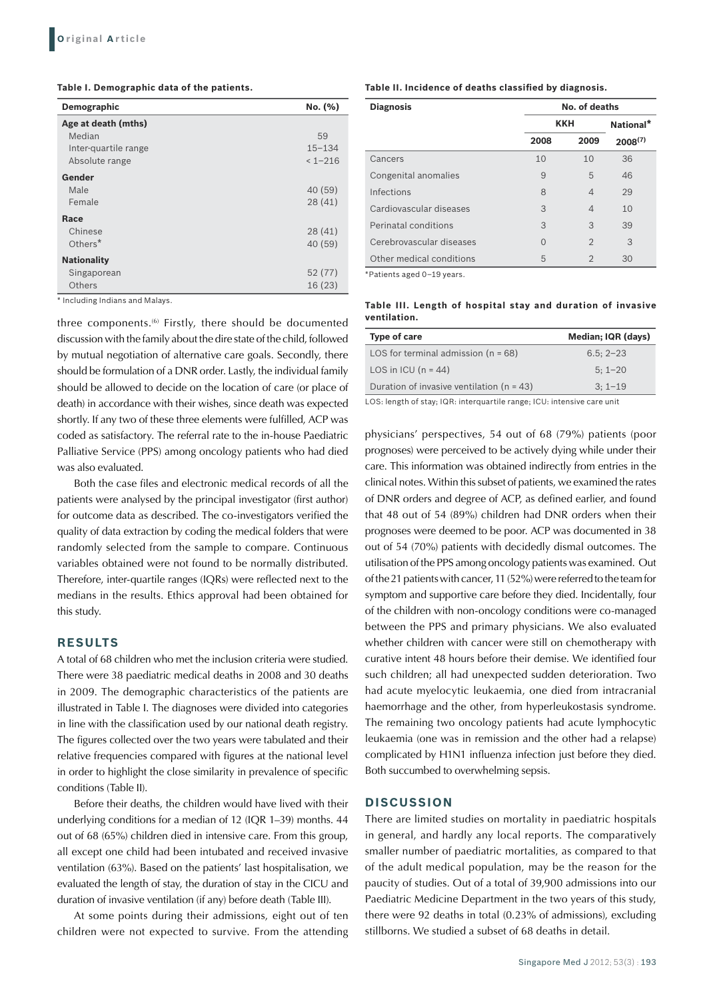**Table I. Demographic data of the patients.**

| Demographic          | No. (%)     |
|----------------------|-------------|
| Age at death (mths)  |             |
| Median               | 59          |
| Inter-quartile range | $15 - 134$  |
| Absolute range       | $< 1 - 216$ |
| Gender               |             |
| Male                 | 40 (59)     |
| Female               | 28(41)      |
| Race                 |             |
| Chinese              | 28(41)      |
| Others $*$           | 40 (59)     |
| <b>Nationality</b>   |             |
| Singaporean          | 52 (77)     |
| <b>Others</b>        | 16 (23)     |

\* Including Indians and Malays.

three components.(6) Firstly, there should be documented discussion with the family about the dire state of the child, followed by mutual negotiation of alternative care goals. Secondly, there should be formulation of a DNR order. Lastly, the individual family should be allowed to decide on the location of care (or place of death) in accordance with their wishes, since death was expected shortly. If any two of these three elements were fulfilled, ACP was coded as satisfactory. The referral rate to the in-house Paediatric Palliative Service (PPS) among oncology patients who had died was also evaluated.

Both the case files and electronic medical records of all the patients were analysed by the principal investigator (first author) for outcome data as described. The co-investigators verified the quality of data extraction by coding the medical folders that were randomly selected from the sample to compare. Continuous variables obtained were not found to be normally distributed. Therefore, inter-quartile ranges (IQRs) were reflected next to the medians in the results. Ethics approval had been obtained for this study.

# **RESULTS**

A total of 68 children who met the inclusion criteria were studied. There were 38 paediatric medical deaths in 2008 and 30 deaths in 2009. The demographic characteristics of the patients are illustrated in Table I. The diagnoses were divided into categories in line with the classification used by our national death registry. The figures collected over the two years were tabulated and their relative frequencies compared with figures at the national level in order to highlight the close similarity in prevalence of specific conditions (Table II).

Before their deaths, the children would have lived with their underlying conditions for a median of 12 (IQR 1–39) months. 44 out of 68 (65%) children died in intensive care. From this group, all except one child had been intubated and received invasive ventilation (63%). Based on the patients' last hospitalisation, we evaluated the length of stay, the duration of stay in the CICU and duration of invasive ventilation (if any) before death (Table III).

At some points during their admissions, eight out of ten children were not expected to survive. From the attending

**Table II. Incidence of deaths classified by diagnosis.**

| <b>Diagnosis</b>         | No. of deaths |                          |              |
|--------------------------|---------------|--------------------------|--------------|
|                          | <b>KKH</b>    |                          | National*    |
|                          | 2008          | 2009                     | $2008^{(7)}$ |
| Cancers                  | 10            | 10                       | 36           |
| Congenital anomalies     | 9             | 5                        | 46           |
| Infections               | 8             | $\overline{\mathcal{A}}$ | 29           |
| Cardiovascular diseases  | 3             | $\overline{\mathcal{A}}$ | 10           |
| Perinatal conditions     | 3             | 3                        | 39           |
| Cerebrovascular diseases | $\Omega$      | $\mathcal{D}$            | 3            |
| Other medical conditions | 5             | $\overline{2}$           | 30           |

\*Patients aged 0–19 years.

**Table III. Length of hospital stay and duration of invasive ventilation.**

| Type of care                                | Median; IQR (days) |
|---------------------------------------------|--------------------|
| LOS for terminal admission $(n = 68)$       | $6.5:2-23$         |
| LOS in ICU $(n = 44)$                       | $5:1 - 20$         |
| Duration of invasive ventilation $(n = 43)$ | $3:1-19$           |
|                                             |                    |

LOS: length of stay; IQR: interquartile range; ICU: intensive care unit

physicians' perspectives, 54 out of 68 (79%) patients (poor prognoses) were perceived to be actively dying while under their care. This information was obtained indirectly from entries in the clinical notes. Within this subset of patients, we examined the rates of DNR orders and degree of ACP, as defined earlier, and found that 48 out of 54 (89%) children had DNR orders when their prognoses were deemed to be poor. ACP was documented in 38 out of 54 (70%) patients with decidedly dismal outcomes. The utilisation of the PPS among oncology patients was examined. Out of the 21 patients with cancer, 11 (52%) were referred to the team for symptom and supportive care before they died. Incidentally, four of the children with non-oncology conditions were co-managed between the PPS and primary physicians. We also evaluated whether children with cancer were still on chemotherapy with curative intent 48 hours before their demise. We identified four such children; all had unexpected sudden deterioration. Two had acute myelocytic leukaemia, one died from intracranial haemorrhage and the other, from hyperleukostasis syndrome. The remaining two oncology patients had acute lymphocytic leukaemia (one was in remission and the other had a relapse) complicated by H1N1 influenza infection just before they died. Both succumbed to overwhelming sepsis.

#### **DISCUSSION**

There are limited studies on mortality in paediatric hospitals in general, and hardly any local reports. The comparatively smaller number of paediatric mortalities, as compared to that of the adult medical population, may be the reason for the paucity of studies. Out of a total of 39,900 admissions into our Paediatric Medicine Department in the two years of this study, there were 92 deaths in total (0.23% of admissions), excluding stillborns. We studied a subset of 68 deaths in detail.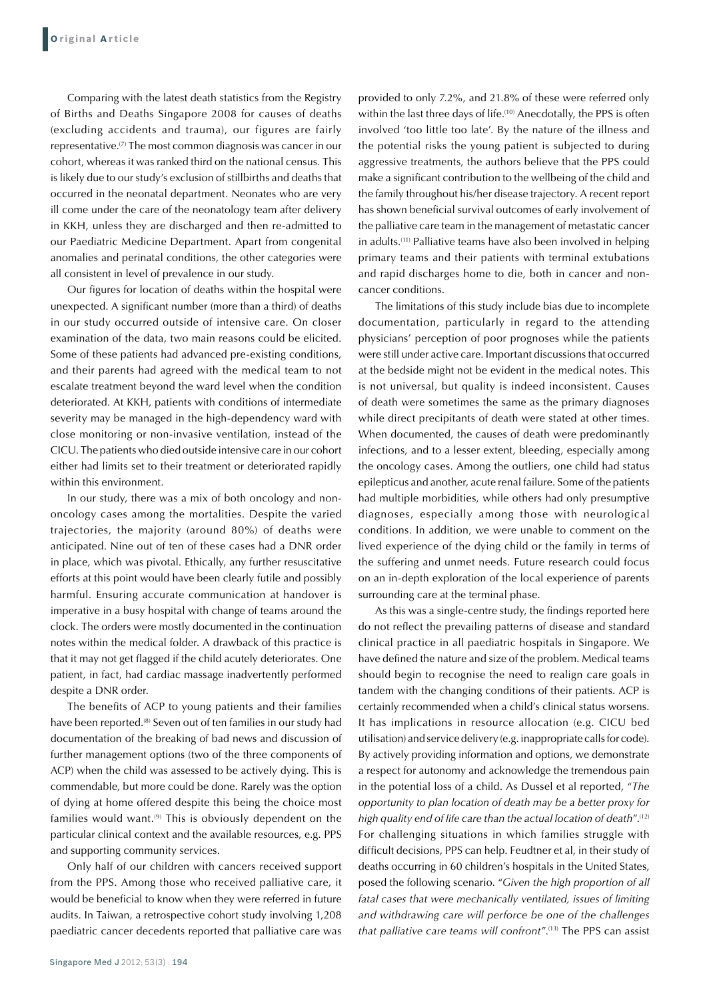Comparing with the latest death statistics from the Registry of Births and Deaths Singapore 2008 for causes of deaths (excluding accidents and trauma), our figures are fairly representative.(7) The most common diagnosis was cancer in our cohort, whereas it was ranked third on the national census. This is likely due to our study's exclusion of stillbirths and deaths that occurred in the neonatal department. Neonates who are very ill come under the care of the neonatology team after delivery in KKH, unless they are discharged and then re-admitted to our Paediatric Medicine Department. Apart from congenital anomalies and perinatal conditions, the other categories were all consistent in level of prevalence in our study.

Our figures for location of deaths within the hospital were unexpected. A significant number (more than a third) of deaths in our study occurred outside of intensive care. On closer examination of the data, two main reasons could be elicited. Some of these patients had advanced pre-existing conditions, and their parents had agreed with the medical team to not escalate treatment beyond the ward level when the condition deteriorated. At KKH, patients with conditions of intermediate severity may be managed in the high-dependency ward with close monitoring or non-invasive ventilation, instead of the CICU. The patients who died outside intensive care in our cohort either had limits set to their treatment or deteriorated rapidly within this environment.

In our study, there was a mix of both oncology and nononcology cases among the mortalities. Despite the varied trajectories, the majority (around 80%) of deaths were anticipated. Nine out of ten of these cases had a DNR order in place, which was pivotal. Ethically, any further resuscitative efforts at this point would have been clearly futile and possibly harmful. Ensuring accurate communication at handover is imperative in a busy hospital with change of teams around the clock. The orders were mostly documented in the continuation notes within the medical folder. A drawback of this practice is that it may not get flagged if the child acutely deteriorates. One patient, in fact, had cardiac massage inadvertently performed despite a DNR order.

The benefits of ACP to young patients and their families have been reported.<sup>(8)</sup> Seven out of ten families in our study had documentation of the breaking of bad news and discussion of further management options (two of the three components of ACP) when the child was assessed to be actively dying. This is commendable, but more could be done. Rarely was the option of dying at home offered despite this being the choice most families would want. $(9)$  This is obviously dependent on the particular clinical context and the available resources, e.g. PPS and supporting community services.

Only half of our children with cancers received support from the PPS. Among those who received palliative care, it would be beneficial to know when they were referred in future audits. In Taiwan, a retrospective cohort study involving 1,208 paediatric cancer decedents reported that palliative care was provided to only 7.2%, and 21.8% of these were referred only within the last three days of life.<sup>(10)</sup> Anecdotally, the PPS is often involved 'too little too late'. By the nature of the illness and the potential risks the young patient is subjected to during aggressive treatments, the authors believe that the PPS could make a significant contribution to the wellbeing of the child and the family throughout his/her disease trajectory. A recent report has shown beneficial survival outcomes of early involvement of the palliative care team in the management of metastatic cancer in adults.(11) Palliative teams have also been involved in helping primary teams and their patients with terminal extubations and rapid discharges home to die, both in cancer and noncancer conditions.

The limitations of this study include bias due to incomplete documentation, particularly in regard to the attending physicians' perception of poor prognoses while the patients were still under active care. Important discussions that occurred at the bedside might not be evident in the medical notes. This is not universal, but quality is indeed inconsistent. Causes of death were sometimes the same as the primary diagnoses while direct precipitants of death were stated at other times. When documented, the causes of death were predominantly infections, and to a lesser extent, bleeding, especially among the oncology cases. Among the outliers, one child had status epilepticus and another, acute renal failure. Some of the patients had multiple morbidities, while others had only presumptive diagnoses, especially among those with neurological conditions. In addition, we were unable to comment on the lived experience of the dying child or the family in terms of the suffering and unmet needs. Future research could focus on an in-depth exploration of the local experience of parents surrounding care at the terminal phase.

As this was a single-centre study, the findings reported here do not reflect the prevailing patterns of disease and standard clinical practice in all paediatric hospitals in Singapore. We have defined the nature and size of the problem. Medical teams should begin to recognise the need to realign care goals in tandem with the changing conditions of their patients. ACP is certainly recommended when a child's clinical status worsens. It has implications in resource allocation (e.g. CICU bed utilisation) and service delivery (e.g. inappropriate calls for code). By actively providing information and options, we demonstrate a respect for autonomy and acknowledge the tremendous pain in the potential loss of a child. As Dussel et al reported, "*The opportunity to plan location of death may be a better proxy for high quality end of life care than the actual location of death*".(12) For challenging situations in which families struggle with difficult decisions, PPS can help. Feudtner et al, in their study of deaths occurring in 60 children's hospitals in the United States, posed the following scenario. "*Given the high proportion of all*  fatal cases that were mechanically ventilated, issues of limiting *and withdrawing care will perforce be one of the challenges that palliative care teams will confront*".(13) The PPS can assist